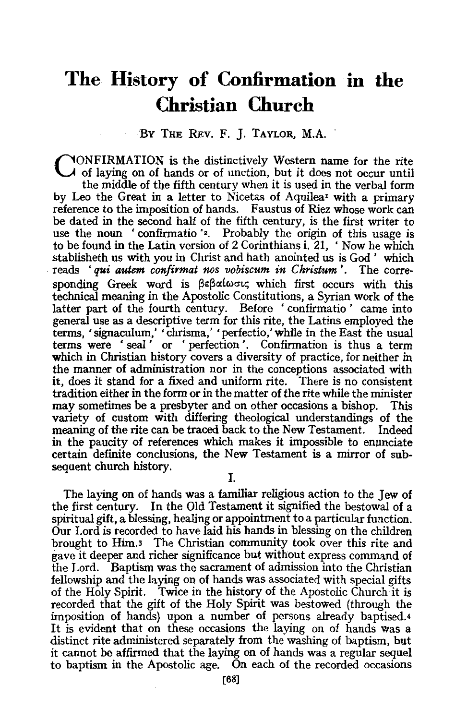## **The History of Confirmation in the Christian Church**

## BY THE REv. F. *].* TAYLOR, M.A.

CONFIRMATION is the distinctively Western name for the rite of laying on of hands or of unction, but it does not occur until the middle of the fifth century when it is used in the verbal form by Leo the Great in a letter to Nicetas of Aquilea<sup>t</sup> with a primary reference to the imposition of hands. Faustus of Riez whose work can be dated in the second half of the fifth century, is the first writer to use the noun 'confirmatio'<sup>2</sup>. Probably the origin of this usage is to be found in the Latin version of 2 Corinthians i. 21, 'Now he which stablisheth us with you in Christ and hath anointed us is God' which reads ' *qui autem confirmat nos vobiscum in Christum* '. The corresponding Greek word is  $\beta \in \beta \alpha \omega \in \alpha$ ; which first occurs with this technical meaning in the Apostolic Constitutions, a Syrian work of the latter part of the fourth century. Before 'confirmatio' came into general use as a descriptive term for this rite, the Latins employed the terms, 'signaculum,' 'chrisma,' 'perfectio,' whlle in the East the usual terms were ' seal ' or ' perfection '. Confirmation is thus a term which in Christian history covers a diversity of practice, for neither in the manner of administration nor in the conceptions associated with it, does it stand for a fixed and uniform rite. There is no consistent tradition either in the form or in the matter of the rite while the minister may sometimes be a presbyter and on other occasions a bishop. This variety of custom with differing theological understandings of the meaning of the rite can be traced back to the New Testament. Indeed in the paucity of references which makes it impossible to enunciate certain definite conclusions, the New Testament is a mirror of subsequent church history.

I.

The laying on of hands was a familiar religious action to the Jew of the first century. In the Old Testament it signified the bestowal of a spiritual gift, a blessing, healing or appointment to a particular function. Our Lord is recorded to have laid his hands in blessing on the children brought to Him.3 The Christian community took over this rite and gave it deeper and richer significance but without express command of the Lord. Baptism was the sacrament of admission into the Christian fellowship and the laying on of hands was associated with special gifts of the Holy Spirit. Twice in the history of the Apostolic Church it is recorded that the gift of the Holy Spirit was bestowed (through the imposition of hands) upon a number of persons already baptised.4 It is evident that on these occasions the laying on of hands was a distinct rite administered separately from the washing of baptism, but it cannot be affirmed that the laying on of hands was a regular sequel to baptism in the Apostolic age. On each of the recorded occasions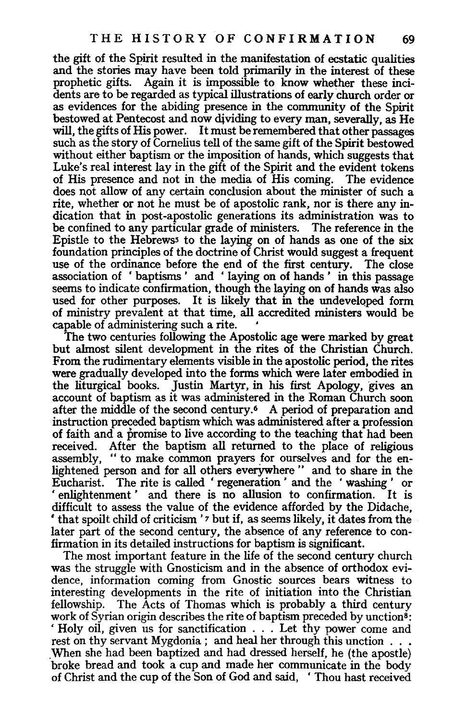the gift of the Spirit resulted in the manifestation of ecstatic qualities and the stories may have been told primarily in the interest of these prophetic gifts. Again it is impossible to know whether these incidents are to be regarded as typical illustrations of early church order or as evidences for the abiding presence in the community of the Spirit bestowed at Pentecost and now dividing to every man, severally, as He will, the gifts of His power. It must be remembered that other passages such as the story of Comelius tell of the same gift of the Spirit bestowed without either baptism or the imposition of hands, which suggests that Luke's real interest lay in the gift of the Spirit and the evident tokens of His presence and not in the media of His coming. The evidence does not allow of any certain conclusion about the minister of such a rite, whether or not he must be of apostolic rank, nor is there any indication that in post-apostolic generations its administration was to be confined to any particular grade of ministers. The reference in the Epistle to the Hebrewss to the laying on of hands as one of the six foundation principles of the doctrine of Christ would suggest a frequent use of the ordinance before the end of the first century. association of ' baptisms ' and ' laying on of hands ' in this passage seems to indicate confirmation, though the laying on of hands was also used for other purposes. It is likely that in the undeveloped form of ministry prevalent at that time, all accredited ministers would be capable of administering such a rite. •

The two centuries following the Apostolic age were marked by great but almost silent development in the rites of the Christian Church. From the rudimentary elements visible in the apostolic period, the rites were gradually developed into the forms which were later embodied in the liturgical books. Justin Martyr, in his first Apology, gives an account of baptism as it was administered in the Roman Church soon after the middle of the second century.<sup>6</sup> A period of preparation and instruction preceded baptism which was administered after a profession of faith and a promise to live according to the teaching that had been received. After the baptism all returned to the place of religious assembly, "to make common prayers for ourselves and for the enlightened person and for all others everywhere " and to share in the Eucharist. The rite is called ' regeneration ' and the ' washing ' or enlightenment' and there is no allusion to confirmation. It is difficult to assess the value of the evidence afforded by the Didache, • that spoilt child of criticism *'7* but if, as seems likely, it dates from the later part of the second century, the absence of any reference to confirmation in its detailed instructions for baptism is significant.

The most important feature in the life of the second century church was the struggle with Gnosticism and in the absence of orthodox evidence, information coming from Gnostic sources bears witness to interesting developments in the rite of initiation into the Christian fellowship. The Acts of Thomas which is probably a third century work of Syrian origin describes the rite of baptism preceded by unction<sup>8</sup>: ' Holy oil, given us for sanctification . . . Let thy power come and rest on thy servant Mygdonia; and heal her through this unction . . . When she had been baptized and had dressed herself, he (the apostle) broke bread and took a cup and made her communicate in the body of Christ and the cup of the Son of God and said, ' Thou hast received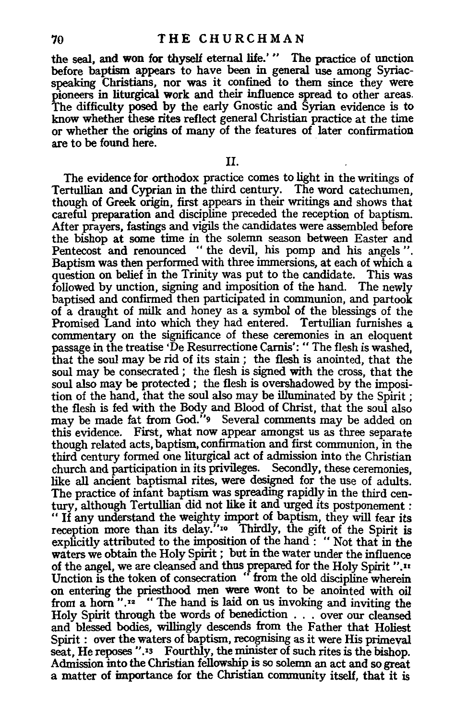the seal, and won for thyself eternal life.' " The practice of unction before baptism appears to have been in general use among Syriacspeaking Christians, nor was it confined to them since they were pioneers in liturgical work and their influence spread to other areas. The difficulty posed by the early Gnostic and Syrian evidence is to know whether these rites reflect general Christian practice at the time or whether the origins of many of the features of later confirmation are to be found here.

11.

The evidence for orthodox practice comes to light in the writings of Tertullian and Cyprian in the third century. The word catechumen, though of Greek origin, first appears in their writings and shows that careful preparation and discipline preceded the reception of baptism. After prayers, fastings and vigils the candidates were assembled before the bishop at some time in the solemn season between Easter and Pentecost and renounced " the devil, his pomp and his angels". Baptism was then performed with three immersions, at each of which a question on belief in the Trinity was put to the candidate. This was followed by unction, signing and imposition of the hand. The newly baptised and confirmed then participated in communion, and partook of a draught of milk and honey as a symbol of the blessings of the Promised Land into which they had entered. Tertullian furnishes a commentary on the significance of these ceremonies in an eloquent passage in the treatise 'De Resurrectione Camis': " The flesh is washed, that the soul may be rid of its stain ; the flesh is anointed, that the soul may be consecrated; the flesh is signed with the cross, that the soul also may be protected ; the flesh is overshadowed by the imposition of the hand, that the soul also may be illuminated by the Spirit ; the flesh is fed with the Body and Blood of Christ, that the soul also may be made fat from God."<sup>9</sup> Several comments may be added on this evidence. First, what now appear amongst us as three separate though related acts, baptism, confirmation and first communion, in the third century formed one liturgical act of admission into the Christian church and participation in its privileges. Secondly, these ceremonies, like all ancient baptismal rites, were designed for the use of adults. The practice of infant baptism was spreading rapidly in the third century, although Tertullian did not like it and urged its postponement: " If any understand the weighty import of baptism, they will fear its reception more than its delay."<sup>10</sup> Thirdly, the gift of the Spirit is explicitly attributed to the imposition of the hand: "Not that in the waters we obtain the Holy Spirit ; but in the water under the influence of the angel, we are cleansed and thus prepared for the Holy Spirit ".n Unction is the token of consecration " from the old discipline wherein on entering the priesthood men were wont to be anointed with oil from a horn " $.12$ " "The hand is laid on us invoking and inviting the Holy Spirit through the words of benediction . . . over our cleansed and blessed bodies, willingly descends from the Father that Holiest Spirit : over the waters of baptism, recognising as it were His primeval seat, He reposes ".<sup>13</sup> Fourthly, the minister of such rites is the bishop. Admission into the Christian fellowship is so solemn an act and so great a matter of importance for the Christian community itself, that it is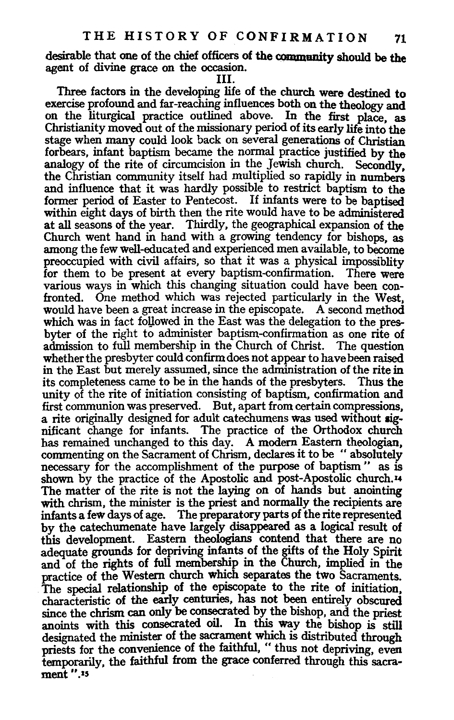desirable that one of the chief officers of the community should be the agent of divine grace on the occasion.

Ill.

Three factors in the developing life of the church were destined to exercise profound and far-reaching influences both on the theology and on the liturgical practice outlined above. In the first place as Christianity moved out of the missionary period of its early life into the stage when many could look back on several generations of Christian forbears, infant baptism became the normal practice justified by the analogy of the rite of circumcision in the *Jewish church*. Secondly, the Christian community itself had multiplied so rapidly in numbers and influence that it was hardly possible to restrict baptism to the former period of Easter to Pentecost. If infants were to be baptised within eight days of birth then the rite would have to be administered at all seasons of the year. Thirdly, the geographical expansion of the Church went hand in hand with a growing tendency for bishops, as among the few well-educated and experienced men available, to become preoccupied with civil affairs, so that it was a physical impossiblity for them to be present at every baptism-confirmation. There were various ways in which this changing situation could have been confronted. One method which was rejected particularly in the West, would have been a great increase in the episcopate. A second method which was in fact followed in the East was the delegation to the presbyter of the right to administer baptism-confirmation as one rite of admission to full membership in the Church of Christ. The question whether the presbyter could confirm does not appear to have been raised in the East but merely assumed, since the administration of the rite in its completeness came to be in the hands of the presbyters. Thus the unity of the rite of initiation consisting of baptism, confirmation and first communion was preserved. But, apart from certain compressions, a rite originally designed for adult catechumens was used without significant change for infants. The practice of the Orthodox church has remained unchanged to this day. A modem Eastern theologian, commenting on the Sacrament of Chrism, declares it to be " absolutely necessary for the accomplishment of the purpose of baptism " as is shown by the practice of the Apostolic and post-Apostolic church.<sup>14</sup> The matter of the rite is not the laying on of hands but anointing with chrism, the minister is the priest and normally the recipients are infants a few days of age. The preparatory parts of the rite represented by the catechumenate have largely disappeared as a logical result of this development. Eastern theologians contend that there are no adequate grounds for depriving infants of the gifts of the Holy Spirit and of the rights of full membership in the Church, implied in the practice of the Western church which separates the two Sacraments. The special relationship of the episcopate to the rite of initiation, characteristic of the early centuries, has not been entirely obscured since the chrism can only be consecrated by the bishop, and the priest anoints with this consecrated oil. In this way the bishop is still designated the minister of the sacrament which is distributed through priests for the convenience of the faithful, " thus not depriving, even temporarily, the faithful from the grace conferred through this sacrament ".•s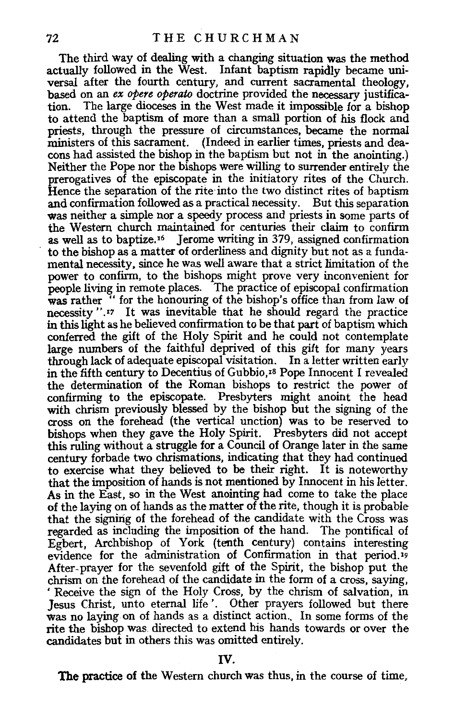The third way of dealing with a changing situation was the method actually followed in the West. Infant baptism rapidly became universal after the fourth century, and current sacramental theology, based on an *ex opere operato* doctrine provided the necessary justification. The large dioceses in the West made it impossible for a bishop to attend the baptism of more than a small portion of his flock and priests, through the pressure of circumstances, became the normal ministers of this sacrament. (Indeed in earlier times, priests and deacons had assisted the bishop in the baptism but not in the anointing.) Neither the Pope nor the bishops were willing to surrender entirely the prerogatives of the episcopate in the initiatory rites of the Church. Hence the separation of the rite into the two distinct rites of baptism and confirmation followed as a practical necessity. But this separation was neither a simple nor a speedy process and priests in some parts of the Western church maintained for centuries their claim to confirm as well as to baptize. 16 Jerome writing in 379, assigned confirmation to the bishop as a matter of orderliness and dignity but not as a fundamental necessity, since he was well aware that a strict limitation of the power to confirm, to the bishops might prove very inconvenient for people living in remote places. The practice of episcopal confirmation was rather " for the honouring of the bishop's office than from law of necessity ".<sup>17</sup> It was inevitable that he should regard the practice in this light as he believed confirmation to be that part of baptism which conferred the gift of the Holy Spirit and he could not contemplate large numbers of the faithful deprived of this gift for many years through lack of adequate episcopal visitation. In a letter written early in the fifth century to Decentius of Gubbio, 1s Pope Innocent I revealed the determination of the Roman bishops to restrict the power of confirming to the episcopate. Presbyters might anoint the head with chrism previously blessed by the bishop but the signing of the cross on the forehead (the vertical unction) was to be reserved to bishops when they gave the Holy Spirit. Presbyters did not accept this ruling without a struggle for a Council of Orange later in the same century forbade two chrismations, indicating that they had continued to exercise what they believed to be their right. It is noteworthy that the imposition of hands is not mentioned by Innocent in his letter. As in the East, so in the West anointing had come to take the place of the laying on of hands as the matter of the rite, though it is probable that the signing of the forehead of the candidate with the Cross was regarded as including the imposition of the hand. The pontifical of Egbert, Archbishop of York (tenth century) contains interesting evidence for the administration of Confirmation in that period. 19 After-prayer for the sevenfold gift of the Spirit, the bishop put the chrism on the forehead of the candidate in the form of a cross, saying, 'Receive the sign of the Holy Cross, by the chrism of salvation, in Jesus Christ, unto eternal life'. Other prayers followed but there was no laying on of hands as a distinct action. In some forms of the rite the bishop was. directed to extend his hands towards or over the candidates but in others this was omitted entirely.

The practice of the Western church was thus, in the course of time,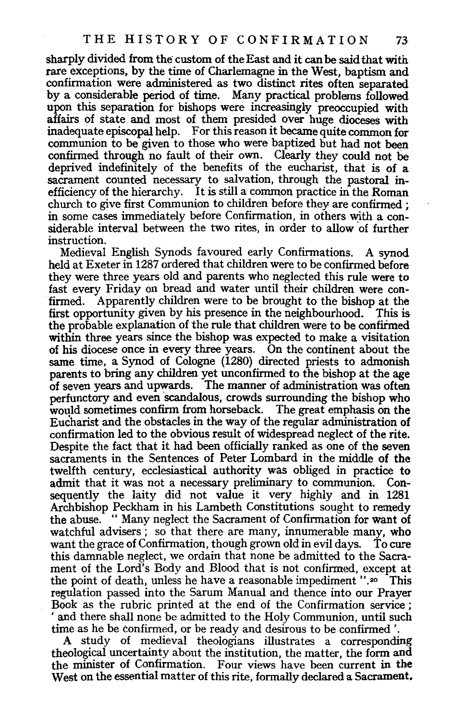sharply divided from the custom of the East and it can be said that with rare exceptions, by the time of Charlemagne in the West, baptism and confirmation were administered as two distinct rites often separated by a considerable period of time. Many practical problems followed upon this separation for bishops were increasingly preoccupied with affairs of state and most of them presided over huge dioceses with inadequate episcopal help. For this reason it became quite common for communion to be given to those who were baptized but had not been confirmed through no fault of their own. Clearly they could not be deprived indefinitely of the benefits of the eucharist, that is of a sacrament counted necessary to salvation, through the pastoral inefficiency of the hierarchy. It is still a common practice in the Roman church to give first Communion to children before they are confirmed ; in some cases immediately before Confirmation, in others with a considerable interval between the two rites, in order to allow of further instruction.

Medieval English Synods favoured early Confirmations. A synod held at Exeter in 1287 ordered that children were to be confirmed before they were three years old and parents who neglected this rule were to fast every Friday on bread and water until their children were con-<br>firmed. Apparently children were to be brought to the bishop at the first opportunity given by his presence in the neighbourhood. This is the probable explanation of the rule that children were to be confirmed within three years since the bishop was expected to make a visitation of his diocese once in every three years. On the continent about the same time, a Synod of Cologne (1280) directed priests to admonish parents to bring any children yet unconfirmed to the bishop at the age of seven years and upwards. The manner of administration was often perfunctory and even scandalous, crowds surrounding the bishop who would sometimes confirm from horseback. The great emphasis on the Eucharist and the obstacles in the way of the regular administration of confirmation led to the obvious result of widespread neglect of the rite. Despite the fact that it had been officially ranked as one of the seven sacraments in the Sentences of Peter Lombard in the middle of the twelfth century, ecclesiastical authority was obliged in practice to admit that it was not a necessary preliminary to communion. Consequently the laity did not value it very highly and in 1281 Archbishop Peckham in his Lambeth Constitutions sought to remedy the abuse. " Many neglect the Sacrament of Confirmation for want of watchful advisers; so that there are many, innumerable many, who want the grace of Confirmation, though grown old in evil days. To cure this damnable neglect, we ordain that none be admitted to the Sacrament of the Lord's Body and Blood that is not confirmed, except at the point of death, unless he have a reasonable impediment ". 20 This regulation passed into the Sarum Manual and thence into our Prayer Book as the rubric printed at the end of the Confirmation service ; ' and there shall none be admitted to the Holy Communion, until such time as he be confirmed, or be ready and desirous to be confirmed '.

A study of medieval theologians illustrates a corresponding theological uncertainty about the institution, the matter, the form and the minister of Confirmation. Four views have been current in the West on the essential matter of this rite, formally declared a Sacrament.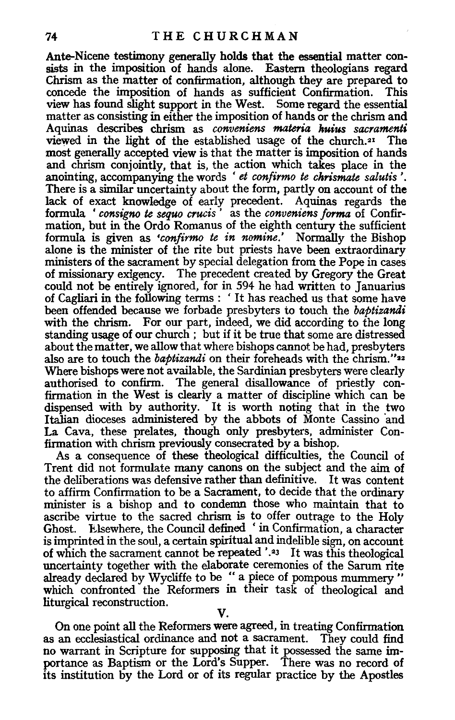Ante-Nicene testimony generally holds that the essential matter consists in the imposition of hands alone. Eastern theologians regard Chrism as the matter of confirmation, although they are prepared to concede the imposition of hands as sufficient Confirmation. view has found slight support in the West. Some regard the essential matter as consisting in either the imposition of hands or the chrism and Aquinas describes chrism as *conveniens materia huius sacramenti*  viewed in the light of the established usage of the church.21 The most generally accepted view is that the matter is imposition of hands and chrism conjointly, that is, the action which takes place in the anointing, accompanying the words ' *et confirmo* te *chrismate salutis* '. There is a similar uncertainty about the form, partly on account of the lack of exact knowledge of early precedent. Aquinas regards the formula ' *consigno* te *sequo crucis* ' as the *conveniens forma* of Confirmation, but in the Ordo Romanus of the eighth century the sufficient formula is given as *•confirmo te in nomine.'* Normally the Bishop alone is the minister of the rite but priests have been extraordinary ministers of the sacrament by special delegation from the Pope in cases of missionary exigency. The precedent created by Gregory the Great could not be entirely ignored, for in 594 he had written to Januarius of Cagliari in the following terms : ' It has reached us that some have been offended because we forbade presbyters to touch the *baptizandi*  with the chrism. For our part, indeed, we did according to the long standing usage of our church ; but if it be true that some are distressed about the matter, we allow that where bishops cannot be had, presbyters also are to touch the *baptizandi* on their foreheads with the chrism."22 Where bishops were not available, the Sardinian presbyters were clearly authorised to confirm. The general disallowance of priestly confirmation in the West is clearly a matter of discipline which can be dispensed with by authority. It is worth noting that in the two Italian dioceses administered by the abbots of Monte Cassino and La Cava, these prelates, though only presbyters, administer Confirmation with chrism previously consecrated by a bishop.

As a consequence of these theological difficulties, the Council of Trent did not formulate many canons on the subject and the aim of the deliberations was defensive rather than definitive. It was content to affirm Confirmation to be a Sacrament, to decide that the ordinary minister is a bishop and to condemn those who maintain that to ascribe virtue to the sacred chrism is to offer outrage to the Holy Ghost. Elsewhere, the Council defined ' in Confirmation, a character is imprinted in the soul, a certain spiritual and indelible sign, on account of which the sacrament cannot be repeated '.<sup>23</sup> It was this theological uncertainty together with the elaborate ceremonies of the Sarum rite already declared by Wycliffe to be " a piece of pompous mummery " which confronted the Reformers in their task of theological and liturgical reconstruction.

V.

On one point all the Reformers were agreed, in treating Confirmation as an ecclesiastical ordinance and not a sacrament. They could find no warrant in Scripture for supposing that it possessed the same importance as Baptism or the Lord's Supper. There was no record of its institution by the Lord or of its regular practice by the Apostles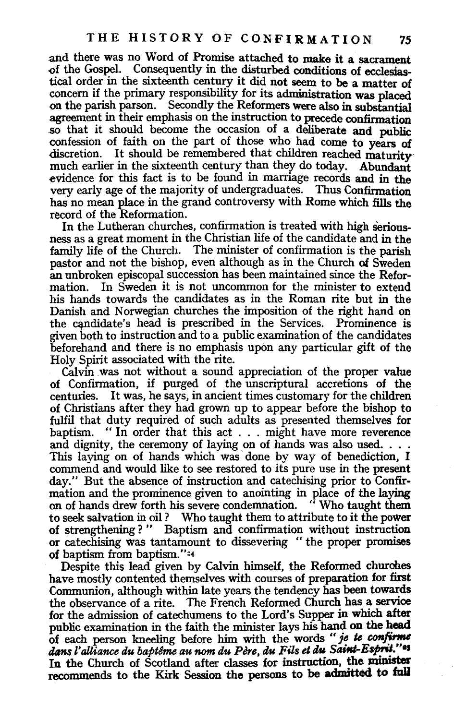.and there was no Word of Promise attached to make it a sacrament of the Gospel. Consequently in the disturbed conditions of ecclesiastical order in the sixteenth century it did not seem to be a matter of concern if the primary responsibility for its administration was placed on the parish parson. Secondly the Reformers were also in substantial agreement in their emphasis on the instruction to precede confirmation so that it should become the occasion of a deliberate and public confession of faith on the part of those who had come to years of discretion. It should be remembered that children reached maturitymuch earlier in the sixteenth century than they do today. Abundant evidence for this fact is to be found in marriage records and in the very early age of the majority of undergraduates. Thus Confirmation has no mean place in the grand controversy with Rome which fills the record of the Reformation.

In the Lutheran churches, confirmation is treated with high seriousness as a great moment in the Christian life of the candidate and in the family life of the Church. The minister of confirmation is the parish pastor and not the bishop, even although as in the Church of Sweden an unbroken episcopal succession has been maintained since the Reformation. In Sweden it is not uncommon for the minister to extend his hands towards the candidates as in the Roman rite but in the Danish and Norwegian churches the imposition of the right hand on the candidate's head is prescribed in the Services. Prominence is given both to instruction and to a public examination of the candidates beforehand and there is no emphasis upon any particular gift of the Holy Spirit associated with the rite.

Calvin was not without a sound appreciation of the proper value of Confirmation, if purged of the unscriptural accretions of the centuries. It was, he says, in ancient times customary for the children of Christians after they had grown up to appear before the bishop to fulfil that duty required of such adults as presented themselves for baptism. "In order that this act ... might have more reverence and dignity, the ceremony of laying on of hands was also used.  $\ldots$ This laying on of hands which was done by way of benediction, I commend and would like to see restored to its pure use in the present day." But the absence of instruction and catechising prior to Confirmation and the prominence given to anointing in place of the laying on of hands drew forth his severe condemnation. "Who taught them to seek salvation in oil ? Who taught them to attribute to it the power of strengthening ? " Baptism and confirmation without instruction or catechising was tantamount to dissevering " the proper promises of baptism from baptism. "=4

Despite this lead given by Calvin himself, the Reformed churches have mostly contented themselves with courses of preparation for first Communion, although within late years the tendency has been towards the observance of a rite. The French Reformed Church has a service for the admission of catechumens to the Lord's Supper in which after public examination in the faith the minister lays his hand on the head of each person kneeling before him with the words *"je te confinne tlans l' alliance du bapteme au nom du Pere, du Fits et du Saint-Espril.''•s*  In the Church of Scotland after classes for instruction, the minister recommends to the Kirk Session the persons to be admitted to full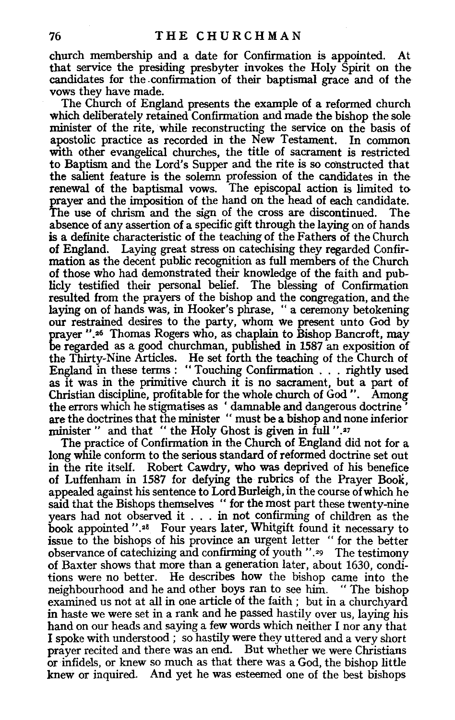church membership and a date for Confirmation is appointed. At that service the presiding presbyter invokes the Holy Spirit on the candidates for the .confirmation of their baptismal grace and of the vows they have made.

The Church of England presents the example of a reformed church which deliberately retained Confirmation and made the bishop the sole minister of the rite, while reconstructing the service on the basis of apostolic practice as recorded in the New Testament. In common with other evangelical churches, the title of sacrament is restricted to Baptism and the Lord's Supper and the rite is so constructed that the salient feature is the solemn profession of the candidates in the renewal of the baptismal vows. The episcopal action is limited to prayer and the imposition of the hand on the head of each candidate. The use of chrism and the sign of the cross are discontinued. The absence of any assertion of a specific gift through the laying on of hands is a definite characteristic of the teaching of the Fathers of the Church of England. Laying great stress on catechising they regarded Confirmation as the decent public recognition as full members of the Church of those who had demonstrated their knowledge of the faith and publicly testified their personal belief. The blessing of Confirmation resulted from the prayers of the bishop and the congregation, and the laying on of hands was, in Hooker's phrase, "a ceremony betokening our restrained desires to the party, whom we present unto God by prayer ".•6 Thomas Rogers who, as chaplain to Bishop Bancroft, may be regarded as a good churchman, published in 1587 an exposition of the Thirty-Nine Articles. He set forth the teaching of the Church of England in these terms: "Touching Confirmation ... rightly used as it was in the primitive church it is no sacrament, but a part of Christian discipline, profitable for the whole church of God ". Among the errors which he stigmatises as ' damnable and dangerous doctrine ' are the doctrines that the minister '' must be a bishop and none inferior minister " and that " the Holy Ghost is given in full ".<sup>27</sup>

The practice of Confirmation in the Church of England did not for a long while conform to the serious standard of reformed doctrine set out in the rite itself. Robert Cawdry, who was deprived of his benefice of Luffenham in 1587 for defying the rubrics of the Prayer BooK, appealed against his sentence to Lord Burleigh, in the course of which he said that the Bishops themselves " for the most part these twenty-nine years had not observed it . . . in not confirming of children as the book appointed ".<sup>28</sup> Four years later, Whitgift found it necessary to issue to the bishops of his province an urgent letter " for the better observance of catechizing and confirming of youth ".•9 The testimony of Baxter shows that more than a generation later, about 1630, conditions were no better. He describes how the bishop came into the neighbourhood and he and other boys ran to see him. "The bishop neighbourhood and he and other boys ran to see him. examined us not at all in one article of the faith ; but in a churchyard in haste we were set in a rank and he passed hastily over us, laying his hand on our heads and saying a few words which neither I nor any that I spoke with understood ; so hastily were they uttered and a very short prayer recited and there was an end. But whether we were Christians or infidels, or knew so much as that there was a God, the bishop little knew or inquired. And yet he was esteemed one of the best bishops